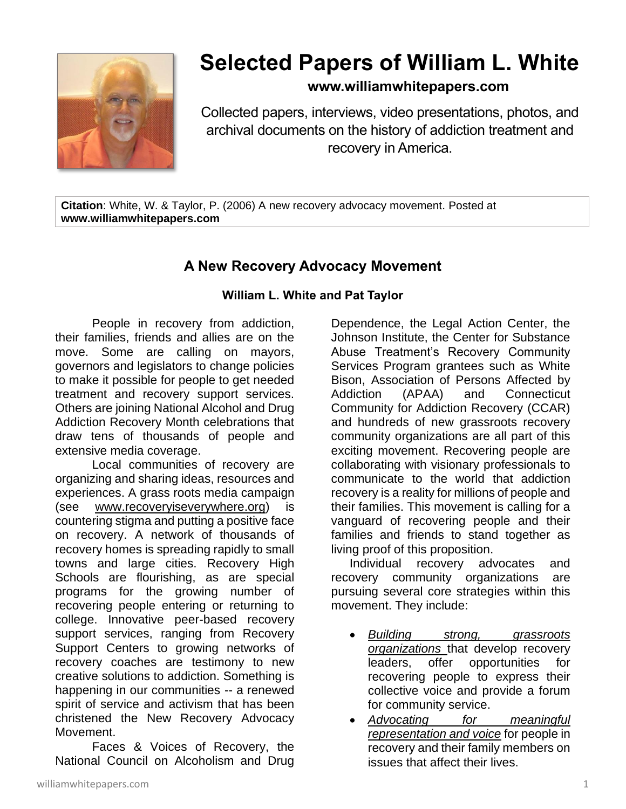

# **Selected Papers of William L. White**

## **www.williamwhitepapers.com**

Collected papers, interviews, video presentations, photos, and archival documents on the history of addiction treatment and recovery in America.

**Citation**: White, W. & Taylor, P. (2006) A new recovery advocacy movement. Posted at **www.williamwhitepapers.com**

# **A New Recovery Advocacy Movement**

### **William L. White and Pat Taylor**

People in recovery from addiction, their families, friends and allies are on the move. Some are calling on mayors, governors and legislators to change policies to make it possible for people to get needed treatment and recovery support services. Others are joining National Alcohol and Drug Addiction Recovery Month celebrations that draw tens of thousands of people and extensive media coverage.

Local communities of recovery are organizing and sharing ideas, resources and experiences. A grass roots media campaign (see [www.recoveryiseverywhere.org\)](http://www.recoveryiseverywhere.org/) is countering stigma and putting a positive face on recovery. A network of thousands of recovery homes is spreading rapidly to small towns and large cities. Recovery High Schools are flourishing, as are special programs for the growing number of recovering people entering or returning to college. Innovative peer-based recovery support services, ranging from Recovery Support Centers to growing networks of recovery coaches are testimony to new creative solutions to addiction. Something is happening in our communities -- a renewed spirit of service and activism that has been christened the New Recovery Advocacy Movement.

Faces & Voices of Recovery, the National Council on Alcoholism and Drug Dependence, the Legal Action Center, the Johnson Institute, the Center for Substance Abuse Treatment's Recovery Community Services Program grantees such as White Bison, Association of Persons Affected by Addiction (APAA) and Connecticut Community for Addiction Recovery (CCAR) and hundreds of new grassroots recovery community organizations are all part of this exciting movement. Recovering people are collaborating with visionary professionals to communicate to the world that addiction recovery is a reality for millions of people and their families. This movement is calling for a vanguard of recovering people and their families and friends to stand together as living proof of this proposition.

Individual recovery advocates and recovery community organizations are pursuing several core strategies within this movement. They include:

- *Building strong, grassroots organizations* that develop recovery leaders, offer opportunities for recovering people to express their collective voice and provide a forum for community service.
- *Advocating for meaningful representation and voice* for people in recovery and their family members on issues that affect their lives.